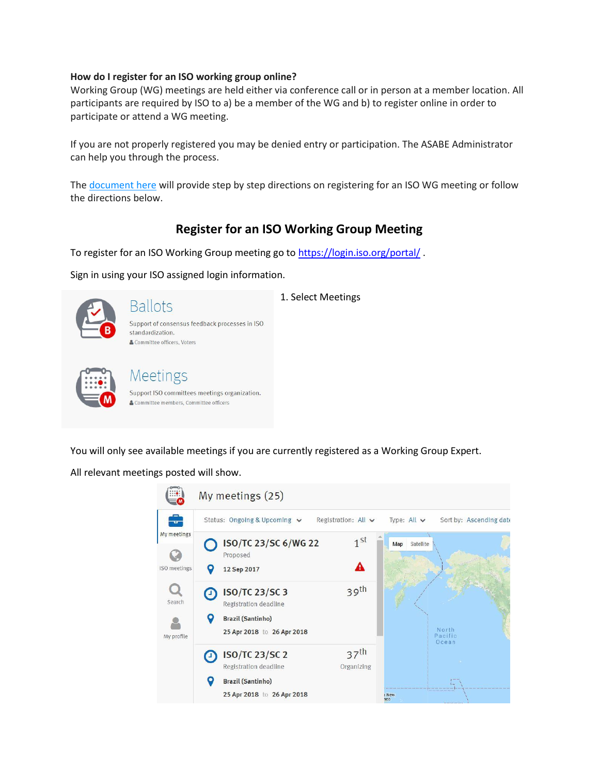#### **How do I register for an ISO working group online?**

Working Group (WG) meetings are held either via conference call or in person at a member location. All participants are required by ISO to a) be a member of the WG and b) to register online in order to participate or attend a WG meeting.

If you are not properly registered you may be denied entry or participation. The ASABE Administrator can help you through the process.

The [document](http://dnn9n7kh1sandbox1.evoqondemand.com/LinkClick.aspx?fileticket=trc91v8AtFU%3d&portalid=0) here will provide step by step directions on registering for an ISO WG meeting or follow the directions below.

## **Register for an ISO Working Group Meeting**

To register for an ISO Working Group meeting go to<https://login.iso.org/portal/>.

Sign in using your ISO assigned login information.



# **Ballots**

1. Select Meetings





### Meetings Support ISO committees meetings organization. & Committee members, Committee officers

You will only see available meetings if you are currently registered as a Working Group Expert.

All relevant meetings posted will show.